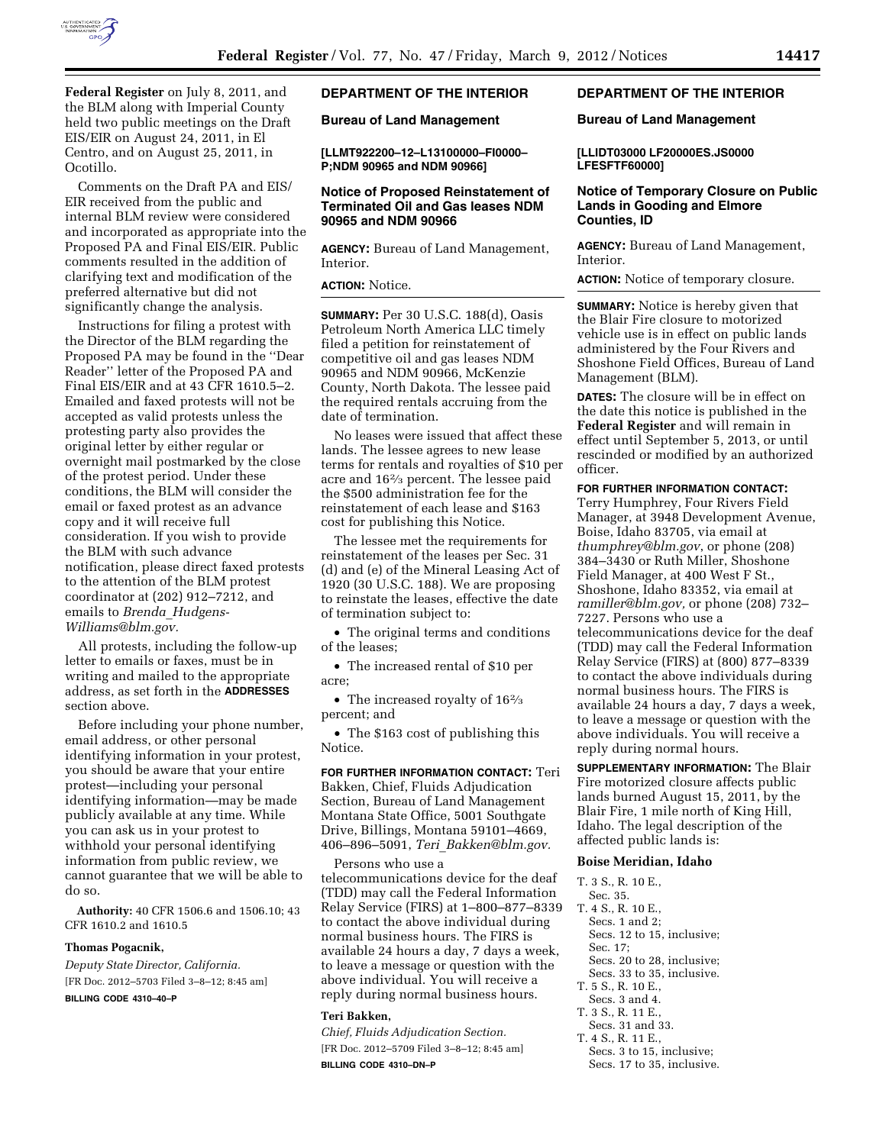

**Federal Register** on July 8, 2011, and the BLM along with Imperial County held two public meetings on the Draft EIS/EIR on August 24, 2011, in El Centro, and on August 25, 2011, in Ocotillo.

Comments on the Draft PA and EIS/ EIR received from the public and internal BLM review were considered and incorporated as appropriate into the Proposed PA and Final EIS/EIR. Public comments resulted in the addition of clarifying text and modification of the preferred alternative but did not significantly change the analysis.

Instructions for filing a protest with the Director of the BLM regarding the Proposed PA may be found in the ''Dear Reader'' letter of the Proposed PA and Final EIS/EIR and at 43 CFR 1610.5–2. Emailed and faxed protests will not be accepted as valid protests unless the protesting party also provides the original letter by either regular or overnight mail postmarked by the close of the protest period. Under these conditions, the BLM will consider the email or faxed protest as an advance copy and it will receive full consideration. If you wish to provide the BLM with such advance notification, please direct faxed protests to the attention of the BLM protest coordinator at (202) 912–7212, and emails to *Brenda*\_*[Hudgens-](mailto:Brenda_Hudgens-Williams@blm.gov)[Williams@blm.gov.](mailto:Brenda_Hudgens-Williams@blm.gov)* 

All protests, including the follow-up letter to emails or faxes, must be in writing and mailed to the appropriate address, as set forth in the **ADDRESSES** section above.

Before including your phone number, email address, or other personal identifying information in your protest, you should be aware that your entire protest—including your personal identifying information—may be made publicly available at any time. While you can ask us in your protest to withhold your personal identifying information from public review, we cannot guarantee that we will be able to do so.

**Authority:** 40 CFR 1506.6 and 1506.10; 43 CFR 1610.2 and 1610.5

#### **Thomas Pogacnik,**

*Deputy State Director, California.*  [FR Doc. 2012–5703 Filed 3–8–12; 8:45 am]

**BILLING CODE 4310–40–P** 

# **DEPARTMENT OF THE INTERIOR**

**Bureau of Land Management** 

**[LLMT922200–12–L13100000–FI0000– P;NDM 90965 and NDM 90966]** 

# **Notice of Proposed Reinstatement of Terminated Oil and Gas leases NDM 90965 and NDM 90966**

**AGENCY:** Bureau of Land Management, Interior.

# **ACTION:** Notice.

**SUMMARY:** Per 30 U.S.C. 188(d), Oasis Petroleum North America LLC timely filed a petition for reinstatement of competitive oil and gas leases NDM 90965 and NDM 90966, McKenzie County, North Dakota. The lessee paid the required rentals accruing from the date of termination.

No leases were issued that affect these lands. The lessee agrees to new lease terms for rentals and royalties of \$10 per acre and 162⁄3 percent. The lessee paid the \$500 administration fee for the reinstatement of each lease and \$163 cost for publishing this Notice.

The lessee met the requirements for reinstatement of the leases per Sec. 31 (d) and (e) of the Mineral Leasing Act of 1920 (30 U.S.C. 188). We are proposing to reinstate the leases, effective the date of termination subject to:

• The original terms and conditions of the leases;

• The increased rental of \$10 per acre;

• The increased royalty of 16<sup>2</sup>/<sub>3</sub> percent; and

• The \$163 cost of publishing this Notice.

**FOR FURTHER INFORMATION CONTACT:** Teri Bakken, Chief, Fluids Adjudication Section, Bureau of Land Management Montana State Office, 5001 Southgate Drive, Billings, Montana 59101–4669, 406–896–5091, *Teri*\_*[Bakken@blm.gov.](mailto:Teri_Bakken@blm.gov)* 

Persons who use a

telecommunications device for the deaf (TDD) may call the Federal Information Relay Service (FIRS) at 1–800–877–8339 to contact the above individual during normal business hours. The FIRS is available 24 hours a day, 7 days a week, to leave a message or question with the above individual. You will receive a reply during normal business hours.

### **Teri Bakken,**

*Chief, Fluids Adjudication Section.*  [FR Doc. 2012–5709 Filed 3–8–12; 8:45 am] **BILLING CODE 4310–DN–P** 

# **DEPARTMENT OF THE INTERIOR**

## **Bureau of Land Management**

**[LLIDT03000 LF20000ES.JS0000 LFESFTF60000]** 

## **Notice of Temporary Closure on Public Lands in Gooding and Elmore Counties, ID**

**AGENCY:** Bureau of Land Management, Interior.

**ACTION:** Notice of temporary closure.

**SUMMARY:** Notice is hereby given that the Blair Fire closure to motorized vehicle use is in effect on public lands administered by the Four Rivers and Shoshone Field Offices, Bureau of Land Management (BLM).

**DATES:** The closure will be in effect on the date this notice is published in the **Federal Register** and will remain in effect until September 5, 2013, or until rescinded or modified by an authorized officer.

### **FOR FURTHER INFORMATION CONTACT:**

Terry Humphrey, Four Rivers Field Manager, at 3948 Development Avenue, Boise, Idaho 83705, via email at *[thumphrey@blm.gov](mailto:thumphrey@blm.gov)*, or phone (208) 384–3430 or Ruth Miller, Shoshone Field Manager, at 400 West F St., Shoshone, Idaho 83352, via email at *[ramiller@blm.gov,](mailto:ramiller@blm.gov)* or phone (208) 732– 7227. Persons who use a telecommunications device for the deaf (TDD) may call the Federal Information Relay Service (FIRS) at (800) 877–8339 to contact the above individuals during normal business hours. The FIRS is available 24 hours a day, 7 days a week, to leave a message or question with the above individuals. You will receive a reply during normal hours.

**SUPPLEMENTARY INFORMATION:** The Blair Fire motorized closure affects public lands burned August 15, 2011, by the Blair Fire, 1 mile north of King Hill, Idaho. The legal description of the affected public lands is:

#### **Boise Meridian, Idaho**

## T. 3 S., R. 10 E.,

- Sec. 35.
- T. 4 S., R. 10 E.,
	- Secs. 1 and 2:
	- Secs. 12 to 15, inclusive;
	- Sec. 17; Secs. 20 to 28, inclusive;
	- Secs. 33 to 35, inclusive.
- T. 5 S., R. 10 E.,
- Secs. 3 and 4.
- T. 3 S., R. 11 E.,
- Secs. 31 and 33.
- T. 4 S., R. 11 E., Secs. 3 to 15, inclusive;
	- Secs. 17 to 35, inclusive.